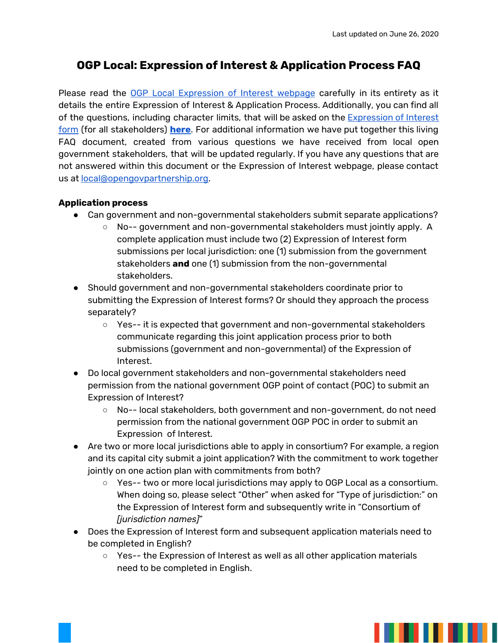# **OGP Local: Expression of Interest & Application Process FAQ**

Please read the OGP Local [Expression](https://www.opengovpartnership.org/documents/join-ogp-local-call-for-expressions-of-interest-may-2020/) of Interest webpage carefully in its entirety as it details the entire Expression of Interest & Application Process. Additionally, you can find all of the questions, including character limits, that will be asked on the [Expression](https://docs.google.com/forms/d/e/1FAIpQLSezWnejzORGdLUWCKi7HYJdjdpm5__ksBWicUO7kznHnWtW0g/viewform) of Interest [form](https://docs.google.com/forms/d/e/1FAIpQLSezWnejzORGdLUWCKi7HYJdjdpm5__ksBWicUO7kznHnWtW0g/viewform) (for all stakeholders) **[here](https://www.opengovpartnership.org/wp-content/uploads/2020/06/OGP-Local-_-2020-Expression-of-Interest-EOI-Form-Questions-PDF-Version.pdf)**. For additional information we have put together this living FAQ document, created from various questions we have received from local open government stakeholders, that will be updated regularly. If you have any questions that are not answered within this document or the Expression of Interest webpage, please contact us at [local@opengovpartnership.org](mailto:local@opengovpartnership.org).

#### **Application process**

- Can government and non-governmental stakeholders submit separate applications?
	- No-- government and non-governmental stakeholders must jointly apply. A complete application must include two (2) Expression of Interest form submissions per local jurisdiction: one (1) submission from the government stakeholders **and** one (1) submission from the non-governmental stakeholders.
- Should government and non-governmental stakeholders coordinate prior to submitting the Expression of Interest forms? Or should they approach the process separately?
	- Yes-- it is expected that government and non-governmental stakeholders communicate regarding this joint application process prior to both submissions (government and non-governmental) of the Expression of Interest.
- Do local government stakeholders and non-governmental stakeholders need permission from the national government OGP point of contact (POC) to submit an Expression of Interest?
	- No-- local stakeholders, both government and non-government, do not need permission from the national government OGP POC in order to submit an Expression of Interest.
- Are two or more local jurisdictions able to apply in consortium? For example, a region and its capital city submit a joint application? With the commitment to work together jointly on one action plan with commitments from both?
	- Yes-- two or more local jurisdictions may apply to OGP Local as a consortium. When doing so, please select "Other" when asked for "Type of jurisdiction:" on the Expression of Interest form and subsequently write in "Consortium of *[jurisdiction names]*"
- Does the Expression of Interest form and subsequent application materials need to be completed in English?
	- Yes-- the Expression of Interest as well as all other application materials need to be completed in English.

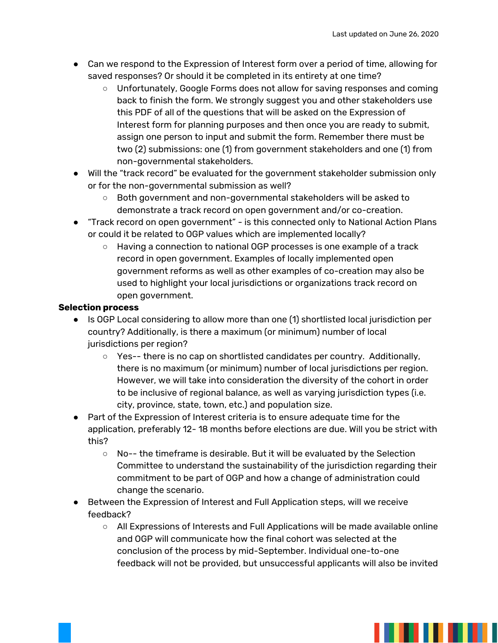- Can we respond to the Expression of Interest form over a period of time, allowing for saved responses? Or should it be completed in its entirety at one time?
	- Unfortunately, Google Forms does not allow for saving responses and coming back to finish the form. We strongly suggest you and other stakeholders use this PDF of all of the questions that will be asked on the Expression of Interest form for planning purposes and then once you are ready to submit, assign one person to input and submit the form. Remember there must be two (2) submissions: one (1) from government stakeholders and one (1) from non-governmental stakeholders.
- Will the "track record" be evaluated for the government stakeholder submission only or for the non-governmental submission as well?
	- Both government and non-governmental stakeholders will be asked to demonstrate a track record on open government and/or co-creation.
- "Track record on open government" is this connected only to National Action Plans or could it be related to OGP values which are implemented locally?
	- Having a connection to national OGP processes is one example of a track record in open government. Examples of locally implemented open government reforms as well as other examples of co-creation may also be used to highlight your local jurisdictions or organizations track record on open government.

## **Selection process**

- Is OGP Local considering to allow more than one (1) shortlisted local jurisdiction per country? Additionally, is there a maximum (or minimum) number of local jurisdictions per region?
	- Yes-- there is no cap on shortlisted candidates per country. Additionally, there is no maximum (or minimum) number of local jurisdictions per region. However, we will take into consideration the diversity of the cohort in order to be inclusive of regional balance, as well as varying jurisdiction types (i.e. city, province, state, town, etc.) and population size.
- Part of the Expression of Interest criteria is to ensure adequate time for the application, preferably 12- 18 months before elections are due. Will you be strict with this?
	- $\circ$  No-- the timeframe is desirable. But it will be evaluated by the Selection Committee to understand the sustainability of the jurisdiction regarding their commitment to be part of OGP and how a change of administration could change the scenario.
- Between the Expression of Interest and Full Application steps, will we receive feedback?
	- All Expressions of Interests and Full Applications will be made available online and OGP will communicate how the final cohort was selected at the conclusion of the process by mid-September. Individual one-to-one feedback will not be provided, but unsuccessful applicants will also be invited

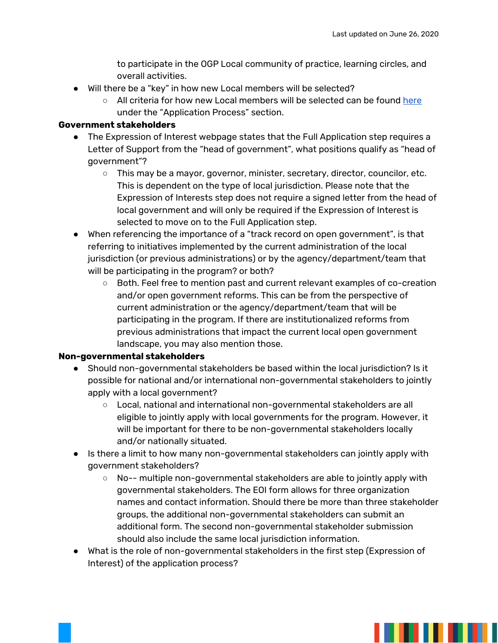to participate in the OGP Local community of practice, learning circles, and overall activities.

- Will there be a "key" in how new Local members will be selected?
	- All criteria for how new Local members will be selected can be found [here](https://www.opengovpartnership.org/documents/join-ogp-local-call-for-expressions-of-interest-may-2020/) under the "Application Process" section.

### **Government stakeholders**

- The Expression of Interest webpage states that the Full Application step requires a Letter of Support from the "head of government", what positions qualify as "head of government"?
	- This may be a mayor, governor, minister, secretary, director, councilor, etc. This is dependent on the type of local jurisdiction. Please note that the Expression of Interests step does not require a signed letter from the head of local government and will only be required if the Expression of Interest is selected to move on to the Full Application step.
- When referencing the importance of a "track record on open government", is that referring to initiatives implemented by the current administration of the local jurisdiction (or previous administrations) or by the agency/department/team that will be participating in the program? or both?
	- Both. Feel free to mention past and current relevant examples of co-creation and/or open government reforms. This can be from the perspective of current administration or the agency/department/team that will be participating in the program. If there are institutionalized reforms from previous administrations that impact the current local open government landscape, you may also mention those.

## **Non-governmental stakeholders**

- Should non-governmental stakeholders be based within the local jurisdiction? Is it possible for national and/or international non-governmental stakeholders to jointly apply with a local government?
	- Local, national and international non-governmental stakeholders are all eligible to jointly apply with local governments for the program. However, it will be important for there to be non-governmental stakeholders locally and/or nationally situated.
- Is there a limit to how many non-governmental stakeholders can jointly apply with government stakeholders?
	- No-- multiple non-governmental stakeholders are able to jointly apply with governmental stakeholders. The EOI form allows for three organization names and contact information. Should there be more than three stakeholder groups, the additional non-governmental stakeholders can submit an additional form. The second non-governmental stakeholder submission should also include the same local jurisdiction information.
- What is the role of non-governmental stakeholders in the first step (Expression of Interest) of the application process?

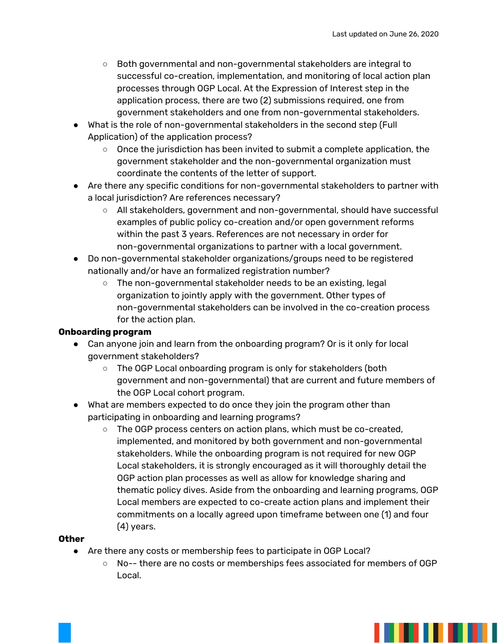- Both governmental and non-governmental stakeholders are integral to successful co-creation, implementation, and monitoring of local action plan processes through OGP Local. At the Expression of Interest step in the application process, there are two (2) submissions required, one from government stakeholders and one from non-governmental stakeholders.
- What is the role of non-governmental stakeholders in the second step (Full Application) of the application process?
	- $\circ$  Once the jurisdiction has been invited to submit a complete application, the government stakeholder and the non-governmental organization must coordinate the contents of the letter of support.
- Are there any specific conditions for non-governmental stakeholders to partner with a local jurisdiction? Are references necessary?
	- All stakeholders, government and non-governmental, should have successful examples of public policy co-creation and/or open government reforms within the past 3 years. References are not necessary in order for non-governmental organizations to partner with a local government.
- Do non-governmental stakeholder organizations/groups need to be registered nationally and/or have an formalized registration number?
	- $\circ$  The non-governmental stakeholder needs to be an existing, legal organization to jointly apply with the government. Other types of non-governmental stakeholders can be involved in the co-creation process for the action plan.

## **Onboarding program**

- Can anyone join and learn from the onboarding program? Or is it only for local government stakeholders?
	- The OGP Local onboarding program is only for stakeholders (both government and non-governmental) that are current and future members of the OGP Local cohort program.
- What are members expected to do once they join the program other than participating in onboarding and learning programs?
	- The OGP process centers on action plans, which must be co-created, implemented, and monitored by both government and non-governmental stakeholders. While the onboarding program is not required for new OGP Local stakeholders, it is strongly encouraged as it will thoroughly detail the OGP action plan processes as well as allow for knowledge sharing and thematic policy dives. Aside from the onboarding and learning programs, OGP Local members are expected to co-create action plans and implement their commitments on a locally agreed upon timeframe between one (1) and four (4) years.

## **Other**

- Are there any costs or membership fees to participate in OGP Local?
	- No-- there are no costs or memberships fees associated for members of OGP Local.